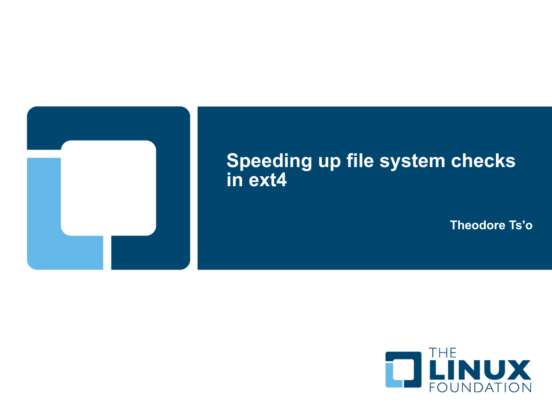

### **Speeding up file system checks in ext4**

**Theodore Ts'o**

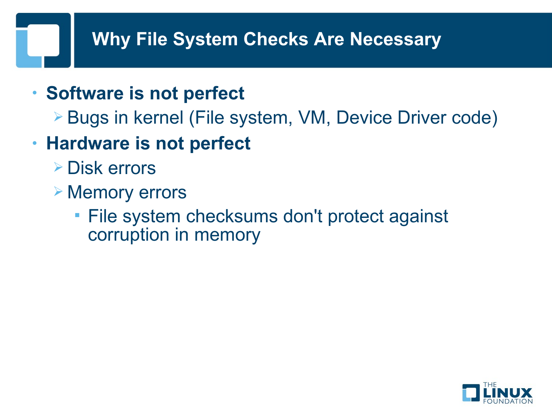# **Why File System Checks Are Necessary**

- **Software is not perfect**
	- Bugs in kernel (File system, VM, Device Driver code)
- **Hardware is not perfect**
	- Disk errors
	- **▶ Memory errors** 
		- **File system checksums don't protect against** corruption in memory

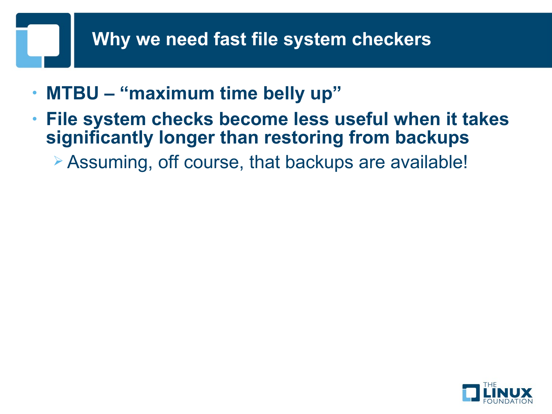## **Why we need fast file system checkers**

- **MTBU "maximum time belly up"**
- **File system checks become less useful when it takes significantly longer than restoring from backups**

Assuming, off course, that backups are available!

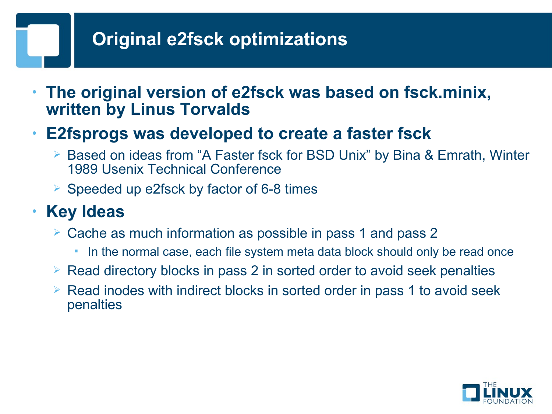# **Original e2fsck optimizations**

• **The original version of e2fsck was based on fsck.minix, written by Linus Torvalds**

#### • **E2fsprogs was developed to create a faster fsck**

- Based on ideas from "A Faster fsck for BSD Unix" by Bina & Emrath, Winter 1989 Usenix Technical Conference
- $\ge$  Speeded up e2fsck by factor of 6-8 times

### • **Key Ideas**

- Cache as much information as possible in pass 1 and pass 2
	- In the normal case, each file system meta data block should only be read once
- $\triangleright$  Read directory blocks in pass 2 in sorted order to avoid seek penalties
- $\triangleright$  Read inodes with indirect blocks in sorted order in pass 1 to avoid seek penalties

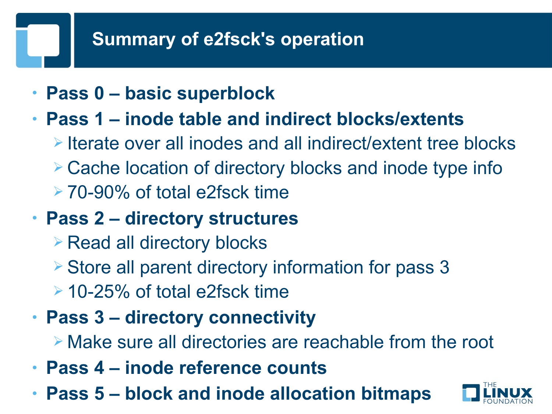# **Summary of e2fsck's operation**

- **Pass 0 basic superblock**
- **Pass 1 inode table and indirect blocks/extents**
	- $\triangleright$  Iterate over all inodes and all indirect/extent tree blocks
	- Cache location of directory blocks and inode type info
	- 70-90% of total e2fsck time
- **Pass 2 directory structures**
	- **Example 2 Read all directory blocks**
	- $\geq$  Store all parent directory information for pass 3
	- $\geq$  10-25% of total e2fsck time
- **Pass 3 directory connectivity**

Make sure all directories are reachable from the root

- **Pass 4 inode reference counts**
- **Pass 5 block and inode allocation bitmaps**

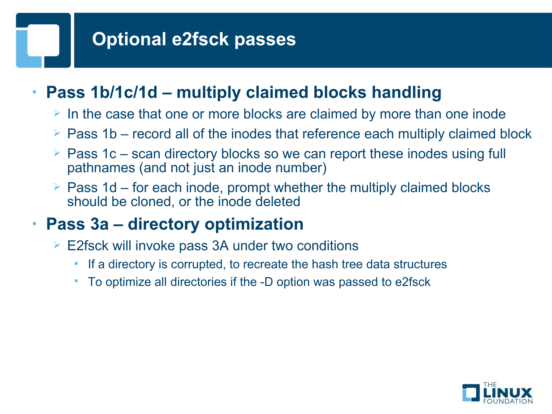# **Optional e2fsck passes**

### • **Pass 1b/1c/1d – multiply claimed blocks handling**

- $\triangleright$  In the case that one or more blocks are claimed by more than one inode
- $\triangleright$  Pass 1b record all of the inodes that reference each multiply claimed block
- $\geq$  Pass 1c scan directory blocks so we can report these inodes using full pathnames (and not just an inode number)
- $\triangleright$  Pass 1d for each inode, prompt whether the multiply claimed blocks should be cloned, or the inode deleted

### • **Pass 3a – directory optimization**

- E2fsck will invoke pass 3A under two conditions
	- If a directory is corrupted, to recreate the hash tree data structures
	- To optimize all directories if the -D option was passed to e2fsck

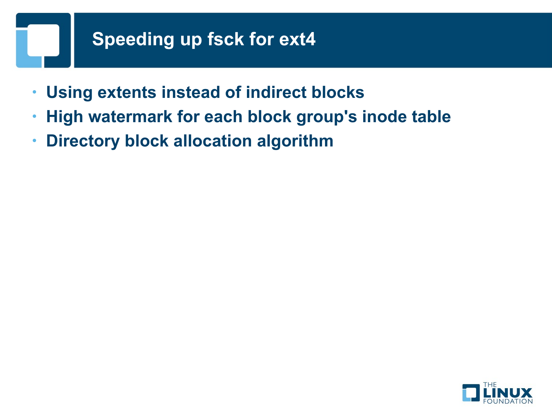# **Speeding up fsck for ext4**

- **Using extents instead of indirect blocks**
- **High watermark for each block group's inode table**
- **Directory block allocation algorithm**

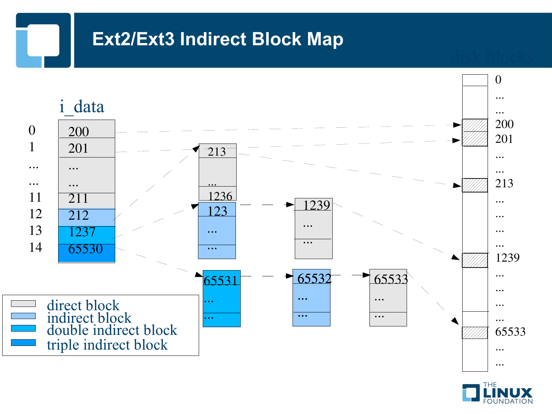### **Ext2/Ext3 Indirect Block Map**

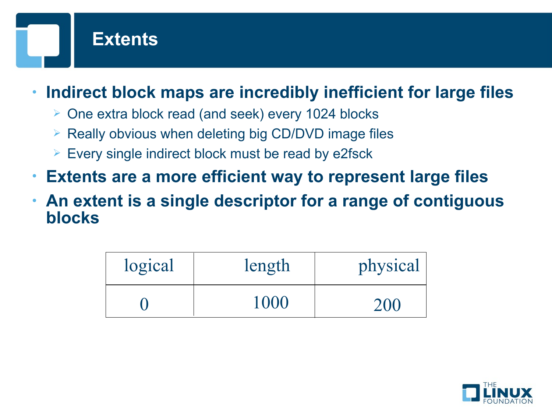

- **Indirect block maps are incredibly inefficient for large files**
	- $\triangleright$  One extra block read (and seek) every 1024 blocks
	- $\triangleright$  Really obvious when deleting big CD/DVD image files
	- $\triangleright$  Every single indirect block must be read by e2fsck
- **Extents are a more efficient way to represent large files**
- **An extent is a single descriptor for a range of contiguous blocks**

| logical | length | physical |
|---------|--------|----------|
|         | 1000   | 200      |

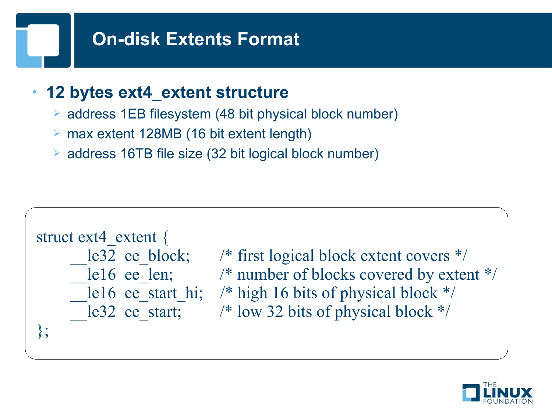# **On-disk Extents Format**

#### • **12 bytes ext4\_extent structure**

- address 1EB filesystem (48 bit physical block number)
- max extent 128MB (16 bit extent length)
- address 16TB file size (32 bit logical block number)

```
struct ext4 extent {
le32 ee block; /* first logical block extent covers */le16 ee len; \frac{\text{# number of blocks covered by extent *}}{\text{# number of blocks.}}le16 ee start hi; /* high 16 bits of physical block */le32 ee start; /* low 32 bits of physical block */};
```
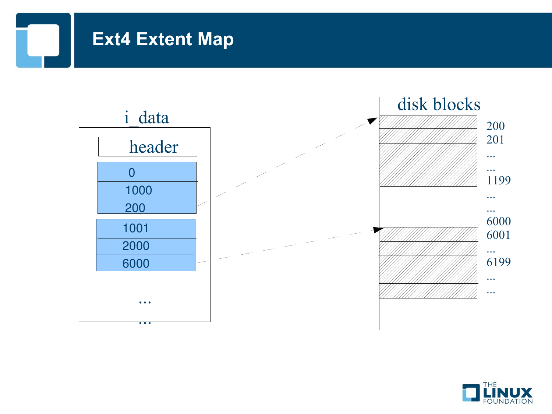# **Ext4 Extent Map**



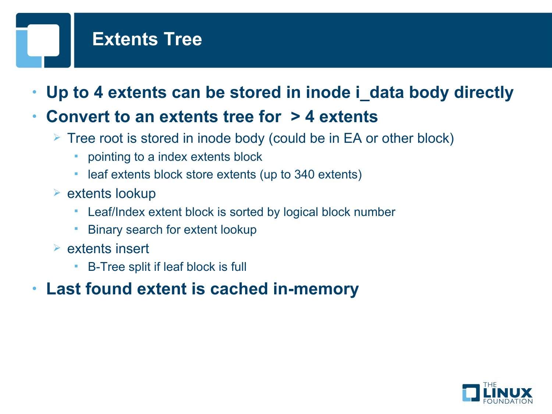# **Extents Tree**

- **Up to 4 extents can be stored in inode i\_data body directly**
- **Convert to an extents tree for > 4 extents**
	- $\triangleright$  Tree root is stored in inode body (could be in EA or other block)
		- pointing to a index extents block
		- leaf extents block store extents (up to 340 extents)
	- $\triangleright$  extents lookup
		- Leaf/Index extent block is sorted by logical block number
		- Binary search for extent lookup
	- $\triangleright$  extents insert
		- B-Tree split if leaf block is full
- **Last found extent is cached in-memory**

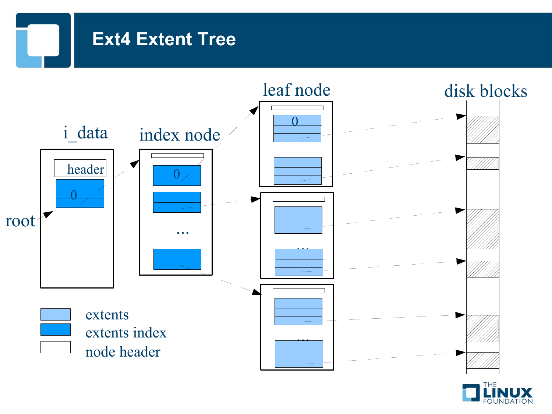# **Ext4 Extent Tree**



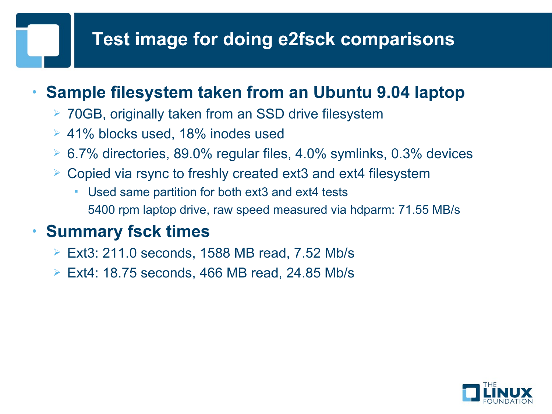# **Test image for doing e2fsck comparisons**

#### • **Sample filesystem taken from an Ubuntu 9.04 laptop**

- 70GB, originally taken from an SSD drive filesystem
- 41% blocks used, 18% inodes used
- $\geq 6.7\%$  directories, 89.0% regular files, 4.0% symlinks, 0.3% devices
- $\geq$  Copied via rsync to freshly created ext3 and ext4 filesystem
	- Used same partition for both ext3 and ext4 tests 5400 rpm laptop drive, raw speed measured via hdparm: 71.55 MB/s

#### • **Summary fsck times**

- $\triangleright$  Ext3: 211.0 seconds, 1588 MB read, 7.52 Mb/s
- Ext4: 18.75 seconds, 466 MB read, 24.85 Mb/s

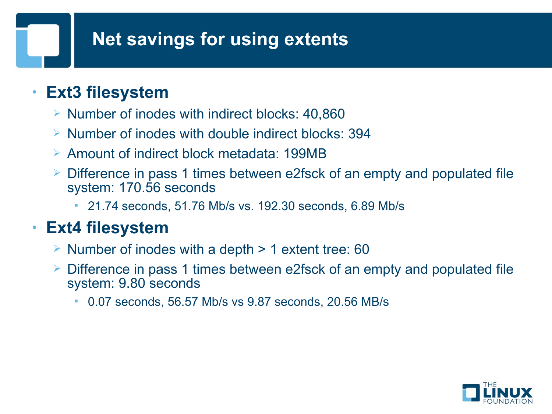## **Net savings for using extents**

#### • **Ext3 filesystem**

- $\triangleright$  Number of inodes with indirect blocks: 40,860
- $\triangleright$  Number of inodes with double indirect blocks: 394
- Amount of indirect block metadata: 199MB
- Difference in pass 1 times between e2fsck of an empty and populated file system: 170.56 seconds
	- 21.74 seconds, 51.76 Mb/s vs. 192.30 seconds, 6.89 Mb/s

#### • **Ext4 filesystem**

- $\triangleright$  Number of inodes with a depth  $> 1$  extent tree: 60
- Difference in pass 1 times between e2fsck of an empty and populated file system: 9.80 seconds
	- 0.07 seconds, 56.57 Mb/s vs 9.87 seconds, 20.56 MB/s

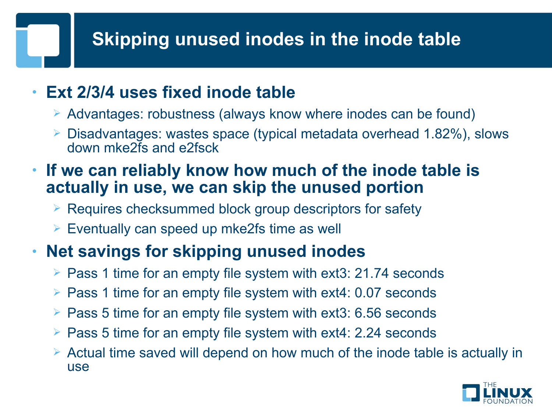# **Skipping unused inodes in the inode table**

#### • **Ext 2/3/4 uses fixed inode table**

- $\triangleright$  Advantages: robustness (always know where inodes can be found)
- Disadvantages: wastes space (typical metadata overhead 1.82%), slows down mke2fs and e2fsck
- **If we can reliably know how much of the inode table is actually in use, we can skip the unused portion**
	- $\triangleright$  Requires checksummed block group descriptors for safety
	- $\triangleright$  Eventually can speed up mke2fs time as well

## • **Net savings for skipping unused inodes**

- $\ge$  Pass 1 time for an empty file system with ext3: 21.74 seconds
- $\ge$  Pass 1 time for an empty file system with ext4: 0.07 seconds
- $\geq$  Pass 5 time for an empty file system with ext3: 6.56 seconds
- $\geq$  Pass 5 time for an empty file system with ext4: 2.24 seconds
- $\geq$  Actual time saved will depend on how much of the inode table is actually in use

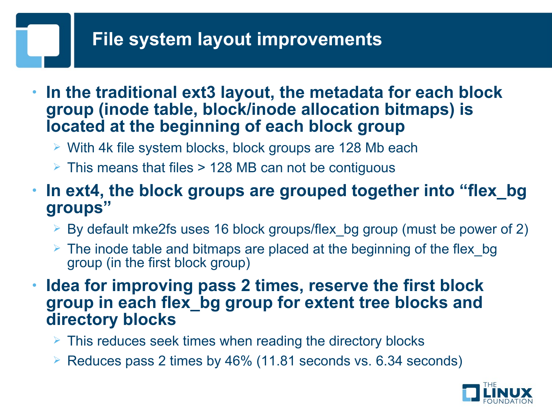## **File system layout improvements**

- **In the traditional ext3 layout, the metadata for each block group (inode table, block/inode allocation bitmaps) is located at the beginning of each block group**
	- $\triangleright$  With 4k file system blocks, block groups are 128 Mb each
	- $\geq$  This means that files  $>$  128 MB can not be contiguous
- **In ext4, the block groups are grouped together into "flex\_bg groups"**
	- $\geq$  By default mke2fs uses 16 block groups/flex bg group (must be power of 2)
	- $\geq$  The inode table and bitmaps are placed at the beginning of the flex bg group (in the first block group)
- **Idea for improving pass 2 times, reserve the first block group in each flex\_bg group for extent tree blocks and directory blocks**
	- $\triangleright$  This reduces seek times when reading the directory blocks
	- $\triangleright$  Reduces pass 2 times by 46% (11.81 seconds vs. 6.34 seconds)

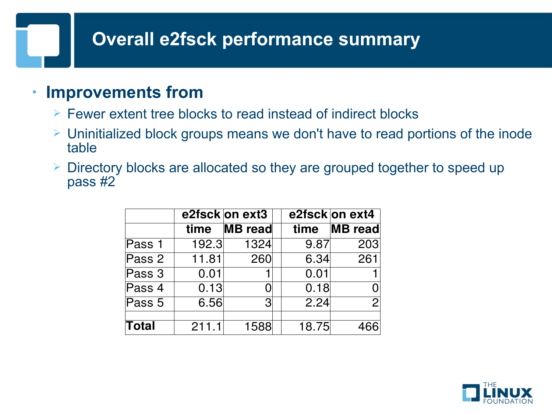## **Overall e2fsck performance summary**

#### • **Improvements from**

- $\triangleright$  Fewer extent tree blocks to read instead of indirect blocks
- Uninitialized block groups means we don't have to read portions of the inode table
- Directory blocks are allocated so they are grouped together to speed up pass #2

|        |       | e2fsck on ext3 |       | e2fsck on ext4 |
|--------|-------|----------------|-------|----------------|
|        | time  | <b>MB</b> read | time  | <b>MB</b> read |
| Pass 1 | 192.3 | 1324           | 9.87  | 203            |
| Pass 2 | 11.81 | 260            | 6.34  | 261            |
| Pass 3 | 0.01  |                | 0.01  |                |
| Pass 4 | 0.13  |                | 0.18  |                |
| Pass 5 | 6.56  | 3              | 2.24  | 2 <sub>1</sub> |
| Total  | 211.1 | 1588           | 18.75 |                |

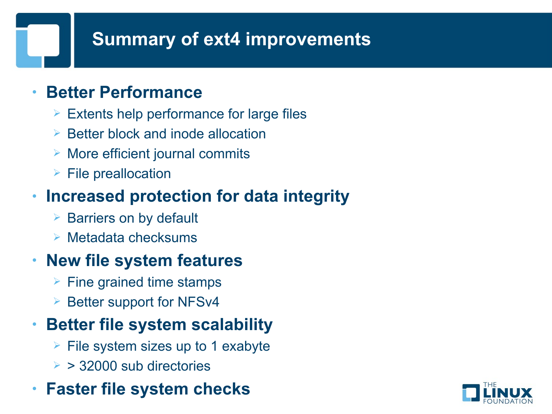# **Summary of ext4 improvements**

#### • **Better Performance**

- $\triangleright$  Extents help performance for large files
- $\triangleright$  Better block and inode allocation
- $\triangleright$  More efficient journal commits
- $\triangleright$  File preallocation

## • **Increased protection for data integrity**

- $\triangleright$  Barriers on by default
- $\triangleright$  Metadata checksums

### • **New file system features**

- $\triangleright$  Fine grained time stamps
- $\triangleright$  Better support for NFSv4

### • **Better file system scalability**

- $\triangleright$  File system sizes up to 1 exabyte
- $\geq$  > 32000 sub directories

#### • **Faster file system checks**

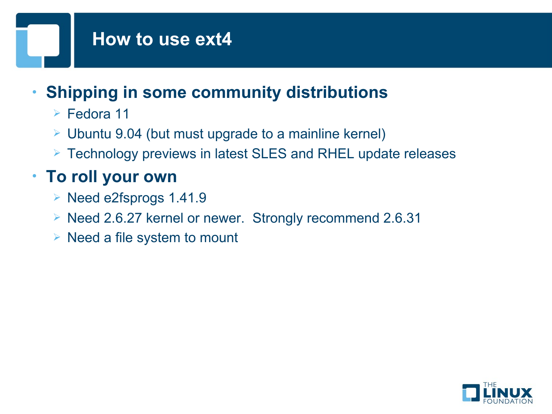## **How to use ext4**

# • **Shipping in some community distributions**

- Fedora 11
- $\geq$  Ubuntu 9.04 (but must upgrade to a mainline kernel)
- Technology previews in latest SLES and RHEL update releases

# • **To roll your own**

- $\triangleright$  Need e2fsprogs 1.41.9
- ▶ Need 2.6.27 kernel or newer. Strongly recommend 2.6.31
- $\triangleright$  Need a file system to mount

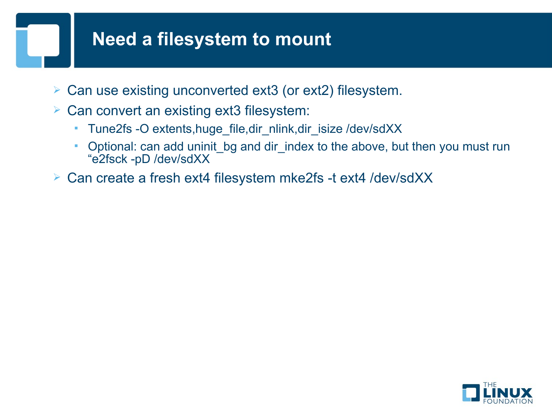### **Need a filesystem to mount**

- Can use existing unconverted ext3 (or ext2) filesystem.
- $\triangleright$  Can convert an existing ext3 filesystem:
	- Tune2fs -O extents,huge\_file,dir\_nlink,dir\_isize /dev/sdXX
	- Optional: can add uninit bg and dir index to the above, but then you must run "e2fsck -pD /dev/sdXX
- Can create a fresh ext4 filesystem mke2fs -t ext4 /dev/sdXX

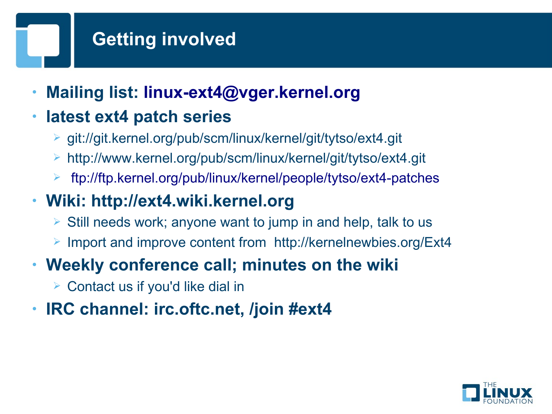# **Getting involved**

• **Mailing list: [linux-ext4@vger.kernel.org](mailto:linux-ext4@vger.kernel.org)**

## • **latest ext4 patch series**

- git://git.kernel.org/pub/scm/linux/kernel/git/tytso/ext4.git
- http://www.kernel.org/pub/scm/linux/kernel/git/tytso/ext4.git
- <ftp://ftp.kernel.org/pub/linux/kernel/people/tytso/ext4-patches>

## • **Wiki: http://ext4.wiki.kernel.org**

- $\triangleright$  Still needs work; anyone want to jump in and help, talk to us
- Import and improve content from http://kernelnewbies.org/Ext4

### • **Weekly conference call; minutes on the wiki**

- $\triangleright$  Contact us if you'd like dial in
- **IRC channel: irc.oftc.net, /join #ext4**

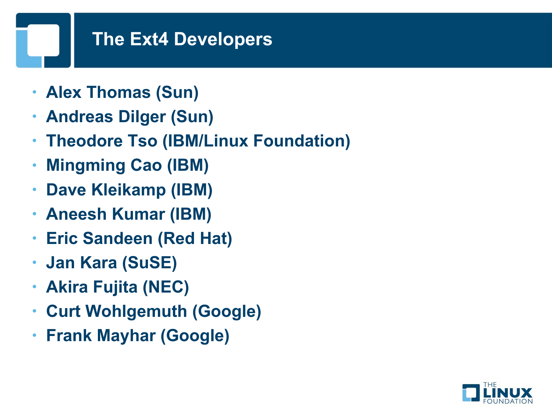### **The Ext4 Developers**

- **Alex Thomas (Sun)**
- **Andreas Dilger (Sun)**
- **Theodore Tso (IBM/Linux Foundation)**
- **Mingming Cao (IBM)**
- **Dave Kleikamp (IBM)**
- **Aneesh Kumar (IBM)**
- **Eric Sandeen (Red Hat)**
- **Jan Kara (SuSE)**
- **Akira Fujita (NEC)**
- **Curt Wohlgemuth (Google)**
- **Frank Mayhar (Google)**